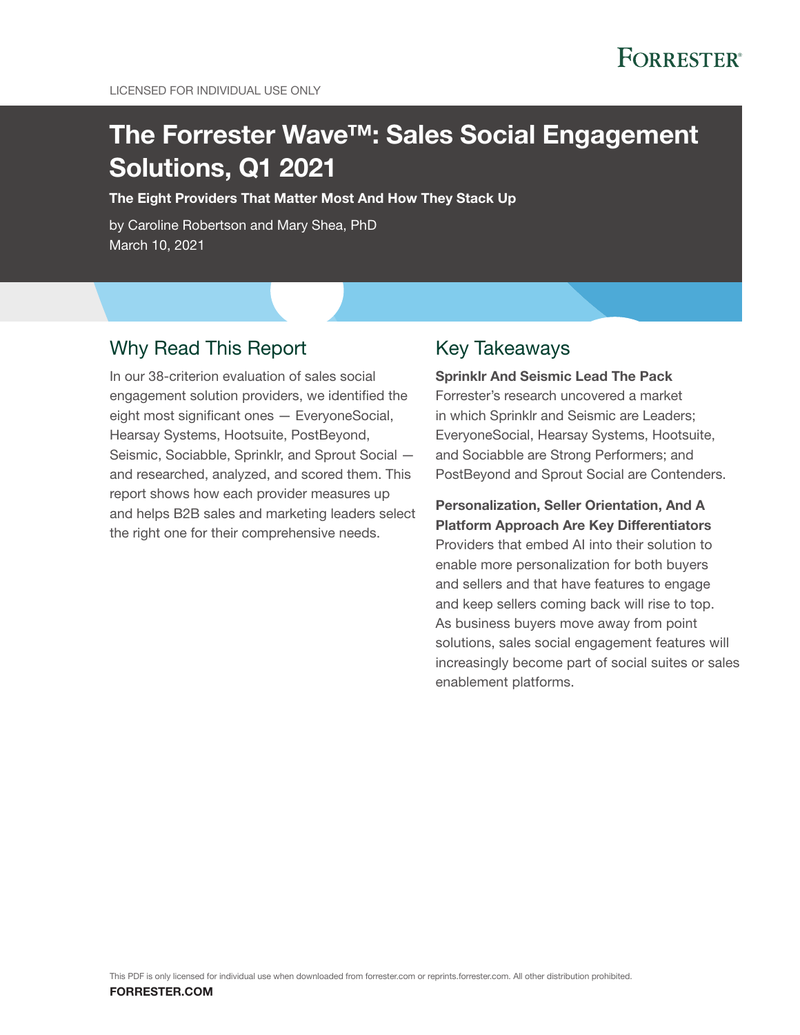# The Forrester Wave™: Sales Social Engagement Solutions, Q1 2021

The Eight Providers That Matter Most And How They Stack Up

by Caroline Robertson and Mary Shea, PhD March 10, 2021

### Why Read This Report

In our 38-criterion evaluation of sales social engagement solution providers, we identified the eight most significant ones — EveryoneSocial, Hearsay Systems, Hootsuite, PostBeyond, Seismic, Sociabble, Sprinklr, and Sprout Social and researched, analyzed, and scored them. This report shows how each provider measures up and helps B2B sales and marketing leaders select the right one for their comprehensive needs.

### Key Takeaways

Sprinklr And Seismic Lead The Pack Forrester's research uncovered a market in which Sprinklr and Seismic are Leaders; EveryoneSocial, Hearsay Systems, Hootsuite, and Sociabble are Strong Performers; and PostBeyond and Sprout Social are Contenders.

Personalization, Seller Orientation, And A Platform Approach Are Key Differentiators Providers that embed AI into their solution to enable more personalization for both buyers and sellers and that have features to engage and keep sellers coming back will rise to top. As business buyers move away from point solutions, sales social engagement features will increasingly become part of social suites or sales enablement platforms.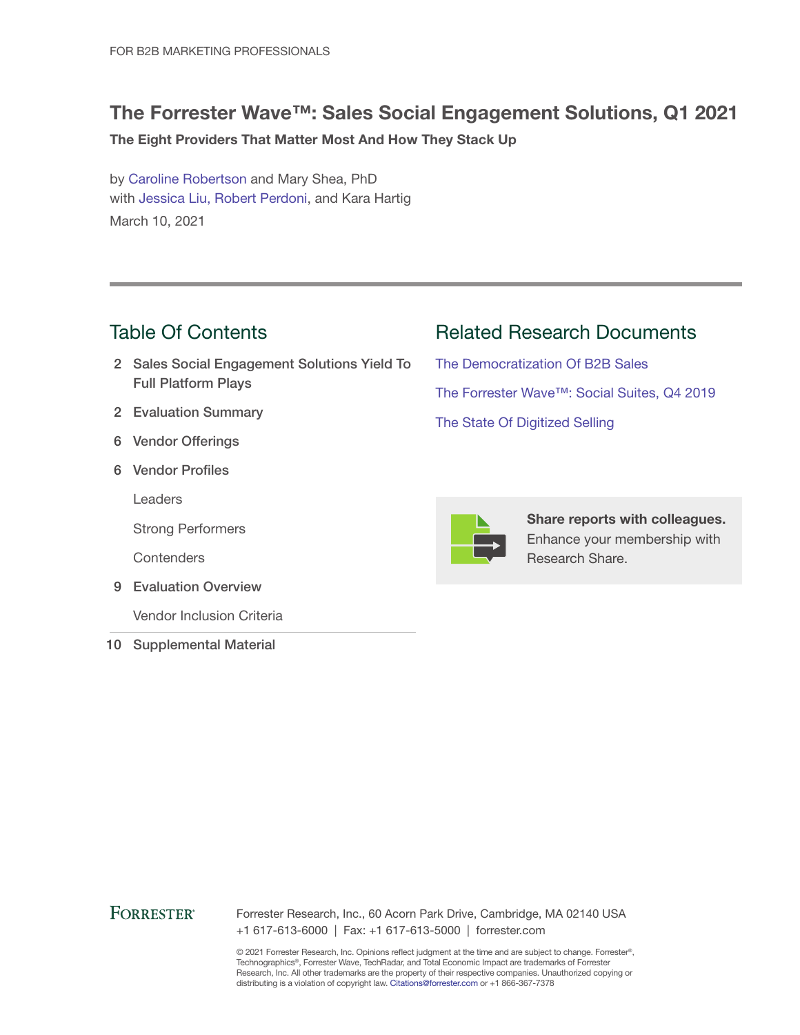### The Forrester Wave™: Sales Social Engagement Solutions, Q1 2021

The Eight Providers That Matter Most And How They Stack Up

by [Caroline Robertson](http://www.forrester.com/go?objectid=BIO11764) and Mary Shea, PhD with [Jessica Liu](http://www.forrester.com/go?objectid=BIO10824), [Robert Perdoni](http://www.forrester.com/go?objectid=BIO12364), and Kara Hartig March 10, 2021

### Table Of Contents

- 2 Sales Social Engagement Solutions Yield To Full Platform Plays
- 2 Evaluation Summary
- 6 Vendor Offerings
- 6 Vendor Profiles

Leaders

Strong Performers

**Contenders** 

9 Evaluation Overview

Vendor Inclusion Criteria

10 Supplemental Material

Related Research Documents

[The Democratization Of B2B Sales](http://www.forrester.com/go?objectid=RES149555) [The Forrester Wave™: Social Suites, Q4 2019](http://www.forrester.com/go?objectid=RES144595) [The State Of Digitized Selling](http://www.forrester.com/go?objectid=RES150015)



Share reports with colleagues. Enhance your membership with Research Share.

### **FORRESTER®**

Forrester Research, Inc., 60 Acorn Park Drive, Cambridge, MA 02140 USA +1 617-613-6000 | Fax: +1 617-613-5000 | forrester.com

© 2021 Forrester Research, Inc. Opinions reflect judgment at the time and are subject to change. Forrester®, Technographics®, Forrester Wave, TechRadar, and Total Economic Impact are trademarks of Forrester Research, Inc. All other trademarks are the property of their respective companies. Unauthorized copying or distributing is a violation of copyright law. Citations@forrester.com or +1 866-367-7378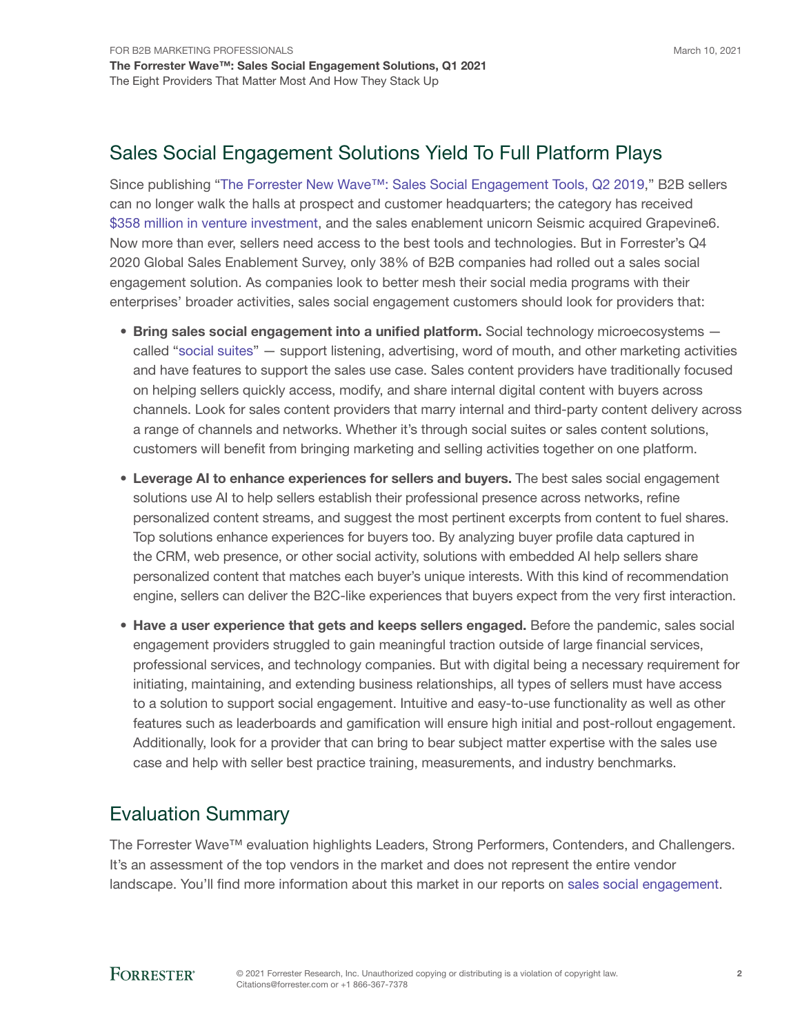Since publishing "[The Forrester New Wave™: Sales Social Engagement Tools, Q2 2019](https://www.forrester.com/go?objectid=res146141)," B2B sellers can no longer walk the halls at prospect and customer headquarters; the category has received [\\$358 million in venture investment,](https://www.venturescanner.com) and the sales enablement unicorn Seismic acquired Grapevine6. Now more than ever, sellers need access to the best tools and technologies. But in Forrester's Q4 2020 Global Sales Enablement Survey, only 38% of B2B companies had rolled out a sales social engagement solution. As companies look to better mesh their social media programs with their enterprises' broader activities, sales social engagement customers should look for providers that:

- Bring sales social engagement into a unified platform. Social technology microecosystems called "[social suites"](https://www.forrester.com/go?objectid=res144595) — support listening, advertising, word of mouth, and other marketing activities and have features to support the sales use case. Sales content providers have traditionally focused on helping sellers quickly access, modify, and share internal digital content with buyers across channels. Look for sales content providers that marry internal and third-party content delivery across a range of channels and networks. Whether it's through social suites or sales content solutions, customers will benefit from bringing marketing and selling activities together on one platform.
- Leverage AI to enhance experiences for sellers and buyers. The best sales social engagement solutions use AI to help sellers establish their professional presence across networks, refine personalized content streams, and suggest the most pertinent excerpts from content to fuel shares. Top solutions enhance experiences for buyers too. By analyzing buyer profile data captured in the CRM, web presence, or other social activity, solutions with embedded AI help sellers share personalized content that matches each buyer's unique interests. With this kind of recommendation engine, sellers can deliver the B2C-like experiences that buyers expect from the very first interaction.
- Have a user experience that gets and keeps sellers engaged. Before the pandemic, sales social engagement providers struggled to gain meaningful traction outside of large financial services, professional services, and technology companies. But with digital being a necessary requirement for initiating, maintaining, and extending business relationships, all types of sellers must have access to a solution to support social engagement. Intuitive and easy-to-use functionality as well as other features such as leaderboards and gamification will ensure high initial and post-rollout engagement. Additionally, look for a provider that can bring to bear subject matter expertise with the sales use case and help with seller best practice training, measurements, and industry benchmarks.

### Evaluation Summary

The Forrester Wave™ evaluation highlights Leaders, Strong Performers, Contenders, and Challengers. It's an assessment of the top vendors in the market and does not represent the entire vendor landscape. You'll find more information about this market in our reports on [sales social engagement](https://www.forrester.com/go?objectid=res146141).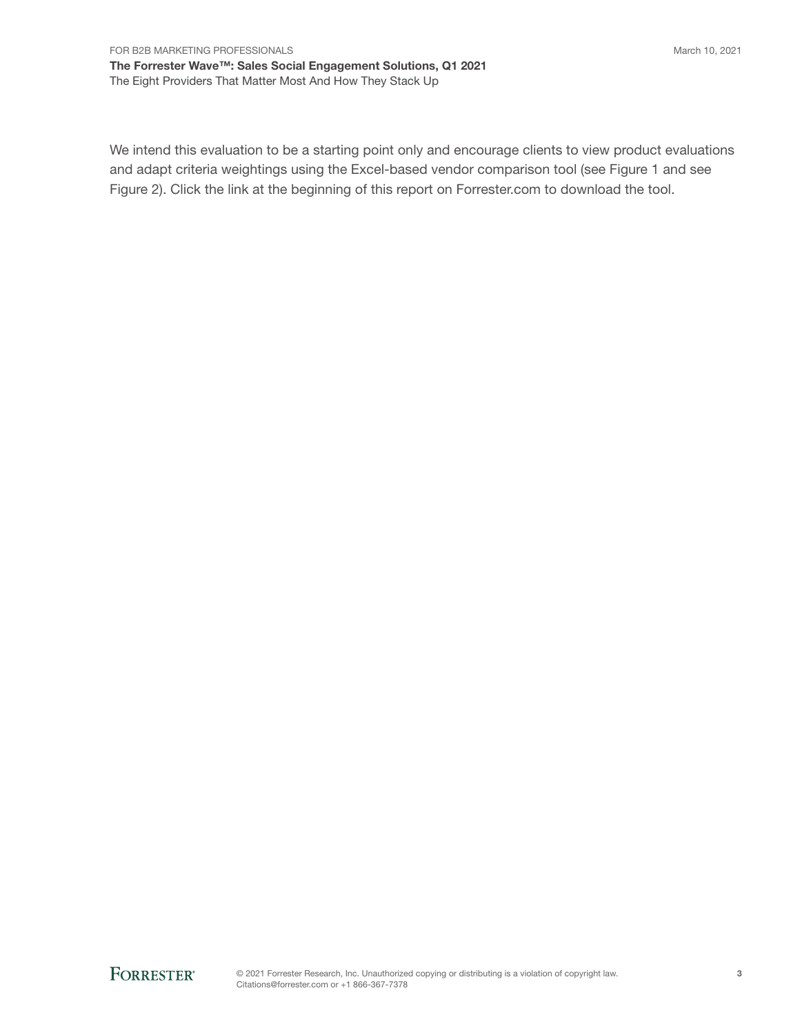We intend this evaluation to be a starting point only and encourage clients to view product evaluations and adapt criteria weightings using the Excel-based vendor comparison tool (see Figure 1 and see Figure 2). Click the link at the beginning of this report on Forrester.com to download the tool.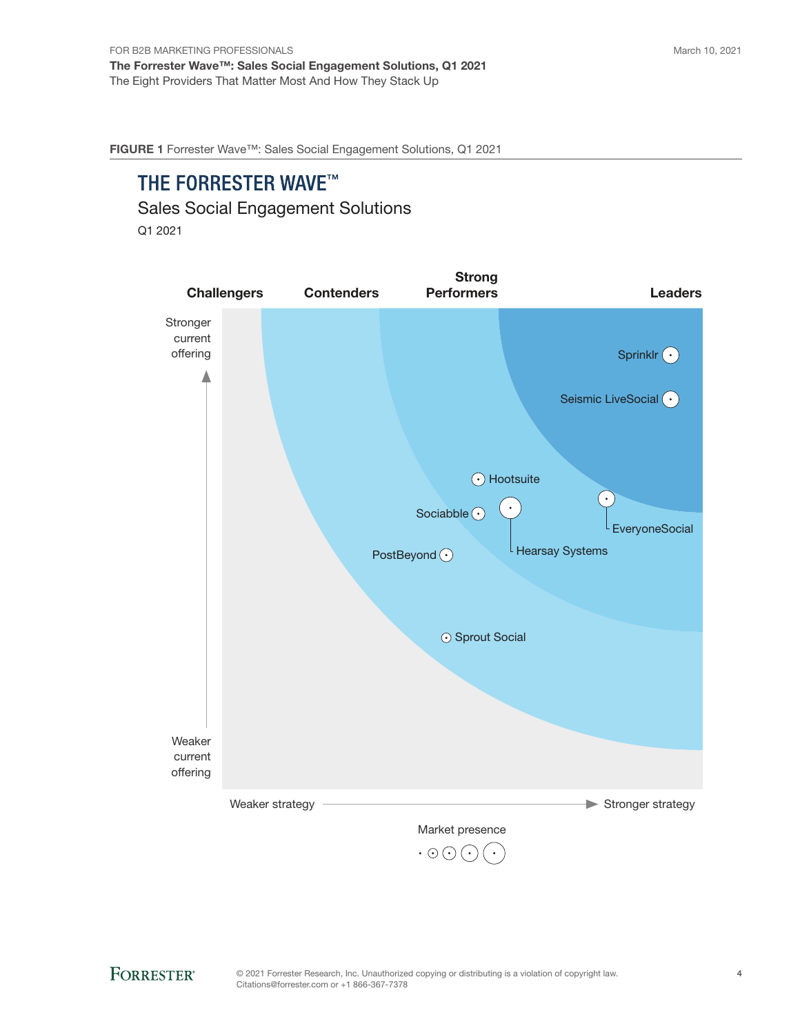FIGURE 1 Forrester Wave™: Sales Social Engagement Solutions, Q1 2021

## THE FORRESTER WAVE™

Sales Social Engagement Solutions

Q1 2021

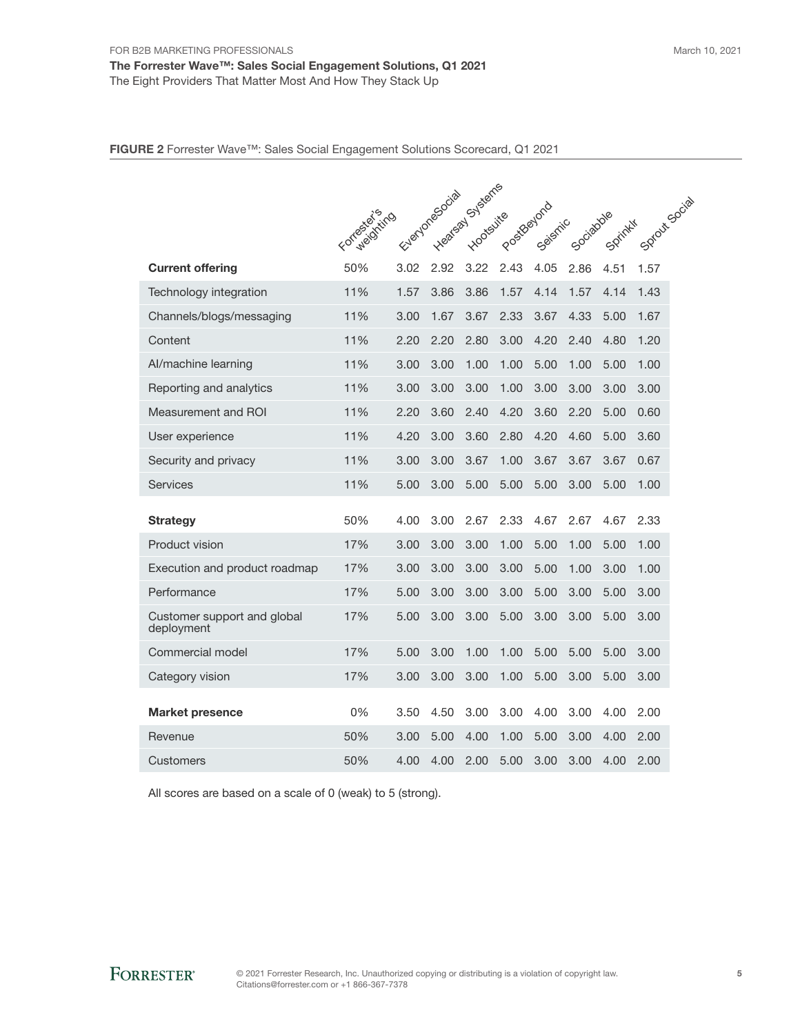|                                           |                |      | 12 Years Heatson Start |           |            |         |           |          |               |
|-------------------------------------------|----------------|------|------------------------|-----------|------------|---------|-----------|----------|---------------|
|                                           | Formald String |      |                        | Hootsuite | PostBayona | Seismic | Sociadole | Sprinkli | Sproutscocial |
|                                           |                |      |                        |           |            |         |           |          |               |
| <b>Current offering</b>                   | 50%            |      |                        |           | 2.43       | 4.05    | 2.86      | 4.51     | 1.57          |
| Technology integration                    | 11%            | 1.57 | 3.86                   | 3.86      | 1.57       | 4.14    | 1.57      | 4.14     | 1.43          |
| Channels/blogs/messaging                  | 11%            | 3.00 | 1.67                   | 3.67      | 2.33       | 3.67    | 4.33      | 5.00     | 1.67          |
| Content                                   | 11%            | 2.20 | 2.20                   | 2.80      | 3.00       | 4.20    | 2.40      | 4.80     | 1.20          |
| Al/machine learning                       | 11%            | 3.00 | 3.00                   | 1.00      | 1.00       | 5.00    | 1.00      | 5.00     | 1.00          |
| Reporting and analytics                   | 11%            | 3.00 | 3.00                   | 3.00      | 1.00       | 3.00    | 3.00      | 3.00     | 3.00          |
| Measurement and ROI                       | 11%            | 2.20 | 3.60                   | 2.40      | 4.20       | 3.60    | 2.20      | 5.00     | 0.60          |
| User experience                           | 11%            | 4.20 | 3.00                   | 3.60      | 2.80       | 4.20    | 4.60      | 5.00     | 3.60          |
| Security and privacy                      | 11%            | 3.00 | 3.00                   | 3.67      | 1.00       | 3.67    | 3.67      | 3.67     | 0.67          |
| <b>Services</b>                           | 11%            | 5.00 | 3.00                   | 5.00      | 5.00       | 5.00    | 3.00      | 5.00     | 1.00          |
| <b>Strategy</b>                           | 50%            | 4.00 | 3.00                   | 2.67      | 2.33       | 4.67    | 2.67      | 4.67     | 2.33          |
| Product vision                            | 17%            | 3.00 | 3.00                   | 3.00      | 1.00       | 5.00    | 1.00      | 5.00     | 1.00          |
| Execution and product roadmap             | 17%            | 3.00 | 3.00                   | 3.00      | 3.00       | 5.00    | 1.00      | 3.00     | 1.00          |
| Performance                               | 17%            | 5.00 | 3.00                   | 3.00      | 3.00       | 5.00    | 3.00      | 5.00     | 3.00          |
| Customer support and global<br>deployment | 17%            | 5.00 | 3.00                   | 3.00      | 5.00       | 3.00    | 3.00      | 5.00     | 3.00          |
| Commercial model                          | 17%            | 5.00 | 3.00                   | 1.00      | 1.00       | 5.00    | 5.00      | 5.00     | 3.00          |
| Category vision                           | 17%            | 3.00 | 3.00                   | 3.00      | 1.00       | 5.00    | 3.00      | 5.00     | 3.00          |
| <b>Market presence</b>                    | 0%             | 3.50 | 4.50                   | 3.00      | 3.00       | 4.00    | 3.00      | 4.00     | 2.00          |
| Revenue                                   | 50%            | 3.00 | 5.00                   | 4.00      | 1.00       | 5.00    | 3.00      | 4.00     | 2.00          |
| Customers                                 | 50%            | 4.00 | 4.00                   | 2.00      | 5.00       | 3.00    | 3.00      | 4.00     | 2.00          |

All scores are based on a scale of 0 (weak) to 5 (strong).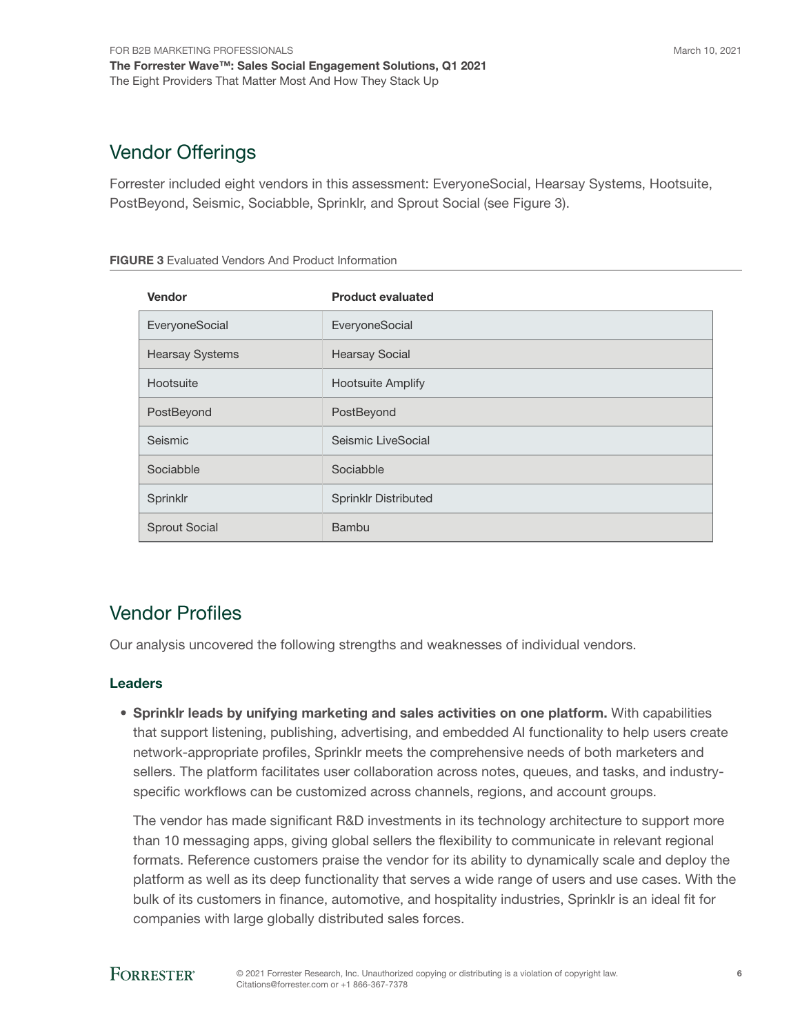### Vendor Offerings

Forrester included eight vendors in this assessment: EveryoneSocial, Hearsay Systems, Hootsuite, PostBeyond, Seismic, Sociabble, Sprinklr, and Sprout Social (see Figure 3).

| <b>FIGURE 3</b> Evaluated Vendors And Product Information |  |
|-----------------------------------------------------------|--|
|-----------------------------------------------------------|--|

| Vendor                 | <b>Product evaluated</b>    |
|------------------------|-----------------------------|
| EveryoneSocial         | EveryoneSocial              |
| <b>Hearsay Systems</b> | <b>Hearsay Social</b>       |
| Hootsuite              | <b>Hootsuite Amplify</b>    |
| PostBeyond             | PostBeyond                  |
| Seismic                | Seismic LiveSocial          |
| Sociabble              | Sociabble                   |
| Sprinklr               | <b>Sprinklr Distributed</b> |
| <b>Sprout Social</b>   | <b>Bambu</b>                |

### Vendor Profiles

Our analysis uncovered the following strengths and weaknesses of individual vendors.

### Leaders

• Sprinklr leads by unifying marketing and sales activities on one platform. With capabilities that support listening, publishing, advertising, and embedded AI functionality to help users create network-appropriate profiles, Sprinklr meets the comprehensive needs of both marketers and sellers. The platform facilitates user collaboration across notes, queues, and tasks, and industryspecific workflows can be customized across channels, regions, and account groups.

The vendor has made significant R&D investments in its technology architecture to support more than 10 messaging apps, giving global sellers the flexibility to communicate in relevant regional formats. Reference customers praise the vendor for its ability to dynamically scale and deploy the platform as well as its deep functionality that serves a wide range of users and use cases. With the bulk of its customers in finance, automotive, and hospitality industries, Sprinklr is an ideal fit for companies with large globally distributed sales forces.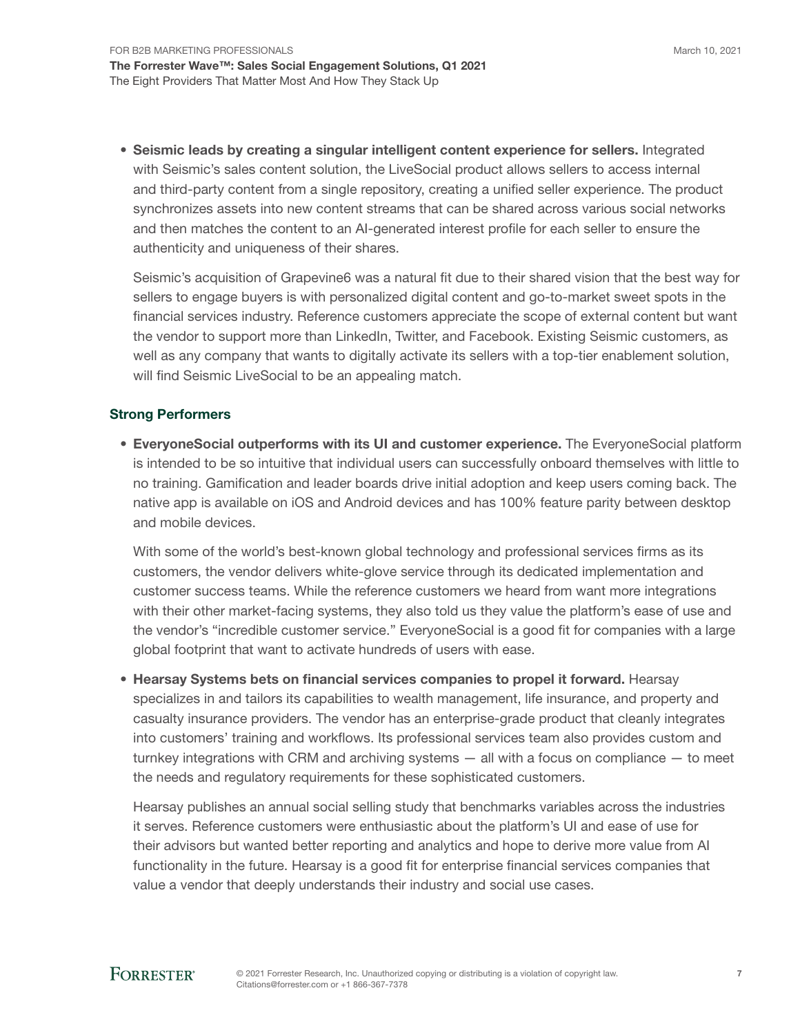• Seismic leads by creating a singular intelligent content experience for sellers. Integrated with Seismic's sales content solution, the LiveSocial product allows sellers to access internal and third-party content from a single repository, creating a unified seller experience. The product synchronizes assets into new content streams that can be shared across various social networks and then matches the content to an AI-generated interest profile for each seller to ensure the authenticity and uniqueness of their shares.

Seismic's acquisition of Grapevine6 was a natural fit due to their shared vision that the best way for sellers to engage buyers is with personalized digital content and go-to-market sweet spots in the financial services industry. Reference customers appreciate the scope of external content but want the vendor to support more than LinkedIn, Twitter, and Facebook. Existing Seismic customers, as well as any company that wants to digitally activate its sellers with a top-tier enablement solution, will find Seismic LiveSocial to be an appealing match.

#### Strong Performers

• EveryoneSocial outperforms with its UI and customer experience. The EveryoneSocial platform is intended to be so intuitive that individual users can successfully onboard themselves with little to no training. Gamification and leader boards drive initial adoption and keep users coming back. The native app is available on iOS and Android devices and has 100% feature parity between desktop and mobile devices.

With some of the world's best-known global technology and professional services firms as its customers, the vendor delivers white-glove service through its dedicated implementation and customer success teams. While the reference customers we heard from want more integrations with their other market-facing systems, they also told us they value the platform's ease of use and the vendor's "incredible customer service." EveryoneSocial is a good fit for companies with a large global footprint that want to activate hundreds of users with ease.

• Hearsay Systems bets on financial services companies to propel it forward. Hearsay specializes in and tailors its capabilities to wealth management, life insurance, and property and casualty insurance providers. The vendor has an enterprise-grade product that cleanly integrates into customers' training and workflows. Its professional services team also provides custom and turnkey integrations with CRM and archiving systems — all with a focus on compliance — to meet the needs and regulatory requirements for these sophisticated customers.

Hearsay publishes an annual social selling study that benchmarks variables across the industries it serves. Reference customers were enthusiastic about the platform's UI and ease of use for their advisors but wanted better reporting and analytics and hope to derive more value from AI functionality in the future. Hearsay is a good fit for enterprise financial services companies that value a vendor that deeply understands their industry and social use cases.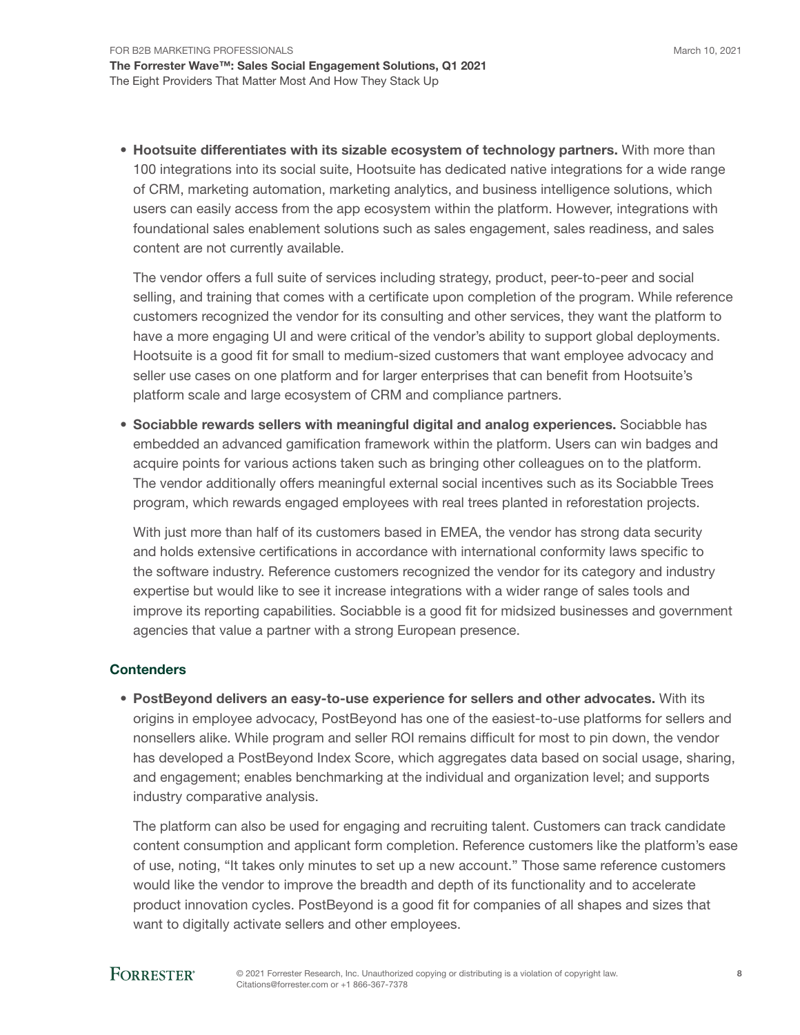• Hootsuite differentiates with its sizable ecosystem of technology partners. With more than 100 integrations into its social suite, Hootsuite has dedicated native integrations for a wide range of CRM, marketing automation, marketing analytics, and business intelligence solutions, which users can easily access from the app ecosystem within the platform. However, integrations with foundational sales enablement solutions such as sales engagement, sales readiness, and sales content are not currently available.

The vendor offers a full suite of services including strategy, product, peer-to-peer and social selling, and training that comes with a certificate upon completion of the program. While reference customers recognized the vendor for its consulting and other services, they want the platform to have a more engaging UI and were critical of the vendor's ability to support global deployments. Hootsuite is a good fit for small to medium-sized customers that want employee advocacy and seller use cases on one platform and for larger enterprises that can benefit from Hootsuite's platform scale and large ecosystem of CRM and compliance partners.

• Sociabble rewards sellers with meaningful digital and analog experiences. Sociabble has embedded an advanced gamification framework within the platform. Users can win badges and acquire points for various actions taken such as bringing other colleagues on to the platform. The vendor additionally offers meaningful external social incentives such as its Sociabble Trees program, which rewards engaged employees with real trees planted in reforestation projects.

With just more than half of its customers based in EMEA, the vendor has strong data security and holds extensive certifications in accordance with international conformity laws specific to the software industry. Reference customers recognized the vendor for its category and industry expertise but would like to see it increase integrations with a wider range of sales tools and improve its reporting capabilities. Sociabble is a good fit for midsized businesses and government agencies that value a partner with a strong European presence.

#### **Contenders**

• PostBeyond delivers an easy-to-use experience for sellers and other advocates. With its origins in employee advocacy, PostBeyond has one of the easiest-to-use platforms for sellers and nonsellers alike. While program and seller ROI remains difficult for most to pin down, the vendor has developed a PostBeyond Index Score, which aggregates data based on social usage, sharing, and engagement; enables benchmarking at the individual and organization level; and supports industry comparative analysis.

The platform can also be used for engaging and recruiting talent. Customers can track candidate content consumption and applicant form completion. Reference customers like the platform's ease of use, noting, "It takes only minutes to set up a new account." Those same reference customers would like the vendor to improve the breadth and depth of its functionality and to accelerate product innovation cycles. PostBeyond is a good fit for companies of all shapes and sizes that want to digitally activate sellers and other employees.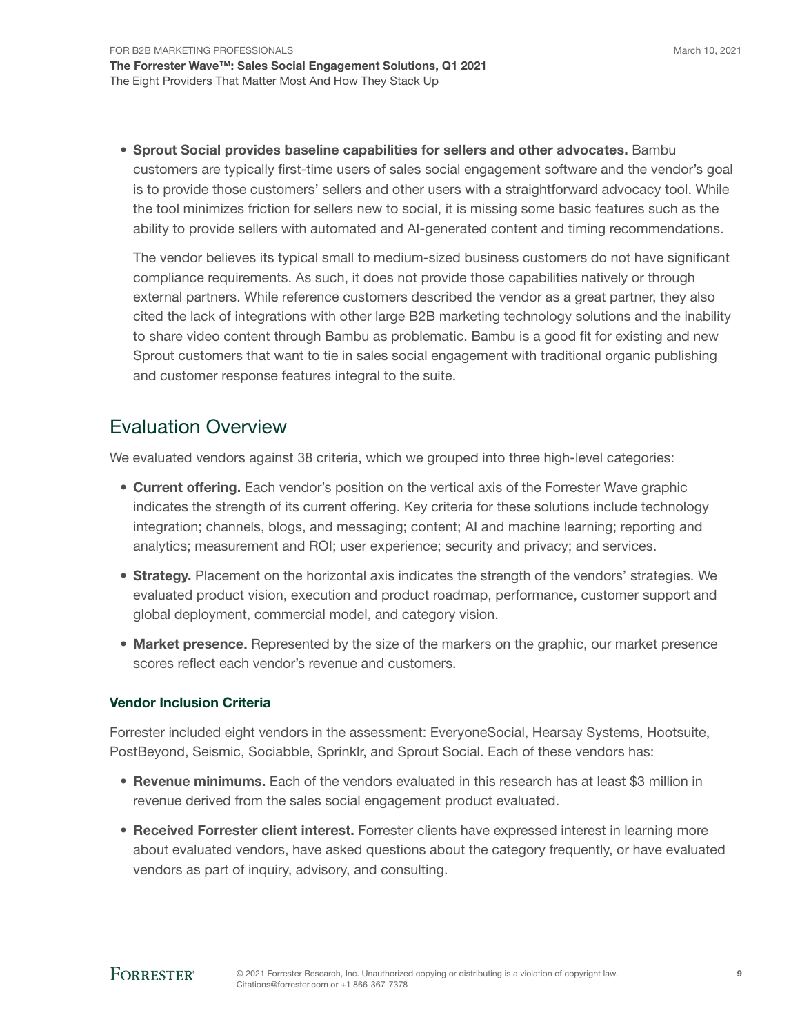March 10, 2021

• Sprout Social provides baseline capabilities for sellers and other advocates. Bambu customers are typically first-time users of sales social engagement software and the vendor's goal is to provide those customers' sellers and other users with a straightforward advocacy tool. While the tool minimizes friction for sellers new to social, it is missing some basic features such as the ability to provide sellers with automated and AI-generated content and timing recommendations.

The vendor believes its typical small to medium-sized business customers do not have significant compliance requirements. As such, it does not provide those capabilities natively or through external partners. While reference customers described the vendor as a great partner, they also cited the lack of integrations with other large B2B marketing technology solutions and the inability to share video content through Bambu as problematic. Bambu is a good fit for existing and new Sprout customers that want to tie in sales social engagement with traditional organic publishing and customer response features integral to the suite.

### Evaluation Overview

We evaluated vendors against 38 criteria, which we grouped into three high-level categories:

- Current offering. Each vendor's position on the vertical axis of the Forrester Wave graphic indicates the strength of its current offering. Key criteria for these solutions include technology integration; channels, blogs, and messaging; content; AI and machine learning; reporting and analytics; measurement and ROI; user experience; security and privacy; and services.
- Strategy. Placement on the horizontal axis indicates the strength of the vendors' strategies. We evaluated product vision, execution and product roadmap, performance, customer support and global deployment, commercial model, and category vision.
- Market presence. Represented by the size of the markers on the graphic, our market presence scores reflect each vendor's revenue and customers.

#### Vendor Inclusion Criteria

Forrester included eight vendors in the assessment: EveryoneSocial, Hearsay Systems, Hootsuite, PostBeyond, Seismic, Sociabble, Sprinklr, and Sprout Social. Each of these vendors has:

- Revenue minimums. Each of the vendors evaluated in this research has at least \$3 million in revenue derived from the sales social engagement product evaluated.
- Received Forrester client interest. Forrester clients have expressed interest in learning more about evaluated vendors, have asked questions about the category frequently, or have evaluated vendors as part of inquiry, advisory, and consulting.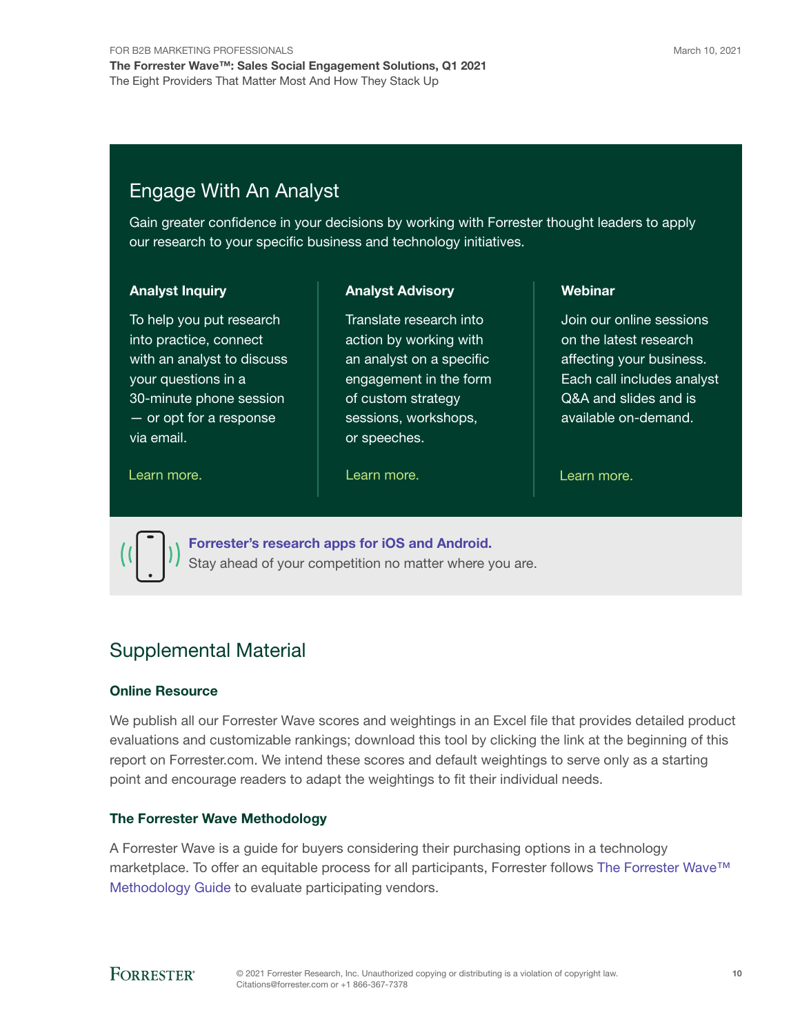### Engage With An Analyst

Gain greater confidence in your decisions by working with Forrester thought leaders to apply our research to your specific business and technology initiatives.

#### Analyst Inquiry

To help you put research into practice, connect with an analyst to discuss your questions in a 30-minute phone session — or opt for a response via email.

#### Analyst Advisory

Translate research into action by working with an analyst on a specific engagement in the form of custom strategy sessions, workshops, or speeches.

#### [Learn more.](https://www.forrester.com/events?N=10006+5025) The same control of the Learn more. The control of the Learn more.

Webinar

Join our online sessions on the latest research affecting your business. Each call includes analyst Q&A and slides and is available on-demand.



[Forrester's research apps for iOS and Android.](http://www.forrester.com/app) Stay ahead of your competition no matter where you are.

### Supplemental Material

#### Online Resource

We publish all our Forrester Wave scores and weightings in an Excel file that provides detailed product evaluations and customizable rankings; download this tool by clicking the link at the beginning of this report on Forrester.com. We intend these scores and default weightings to serve only as a starting point and encourage readers to adapt the weightings to fit their individual needs.

#### The Forrester Wave Methodology

A Forrester Wave is a guide for buyers considering their purchasing options in a technology marketplace. To offer an equitable process for all participants, Forrester follows [The Forrester Wave™](https://www.forrester.com/marketing/policies/forrester-wave-methodology.html)  [Methodology Guide](https://www.forrester.com/marketing/policies/forrester-wave-methodology.html) to evaluate participating vendors.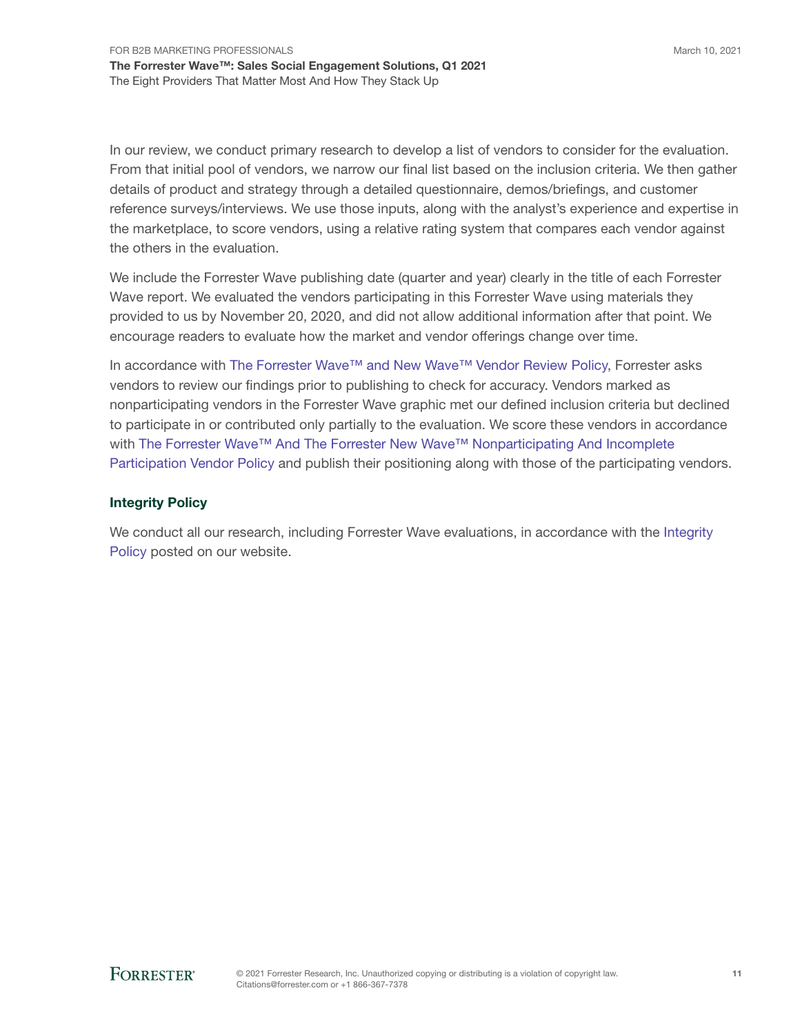In our review, we conduct primary research to develop a list of vendors to consider for the evaluation. From that initial pool of vendors, we narrow our final list based on the inclusion criteria. We then gather details of product and strategy through a detailed questionnaire, demos/briefings, and customer reference surveys/interviews. We use those inputs, along with the analyst's experience and expertise in the marketplace, to score vendors, using a relative rating system that compares each vendor against the others in the evaluation.

We include the Forrester Wave publishing date (quarter and year) clearly in the title of each Forrester Wave report. We evaluated the vendors participating in this Forrester Wave using materials they provided to us by November 20, 2020, and did not allow additional information after that point. We encourage readers to evaluate how the market and vendor offerings change over time.

In accordance with [The Forrester Wave™ and New Wave™ Vendor Review Policy](https://www.forrester.com/marketing/policies/wave-vendor-review-policy.html), Forrester asks vendors to review our findings prior to publishing to check for accuracy. Vendors marked as nonparticipating vendors in the Forrester Wave graphic met our defined inclusion criteria but declined to participate in or contributed only partially to the evaluation. We score these vendors in accordance with [The Forrester Wave™ And The Forrester New Wave™ Nonparticipating And Incomplete](https://www.forrester.com/marketing/policies/wave-vendor-nonparticipation-policy.html)  [Participation Vendor Policy](https://www.forrester.com/marketing/policies/wave-vendor-nonparticipation-policy.html) and publish their positioning along with those of the participating vendors.

#### Integrity Policy

We conduct all our research, including Forrester Wave evaluations, in accordance with the Integrity [Policy](http://www.forrester.com/marketing/policies/integrity-policy.html) posted on our website.